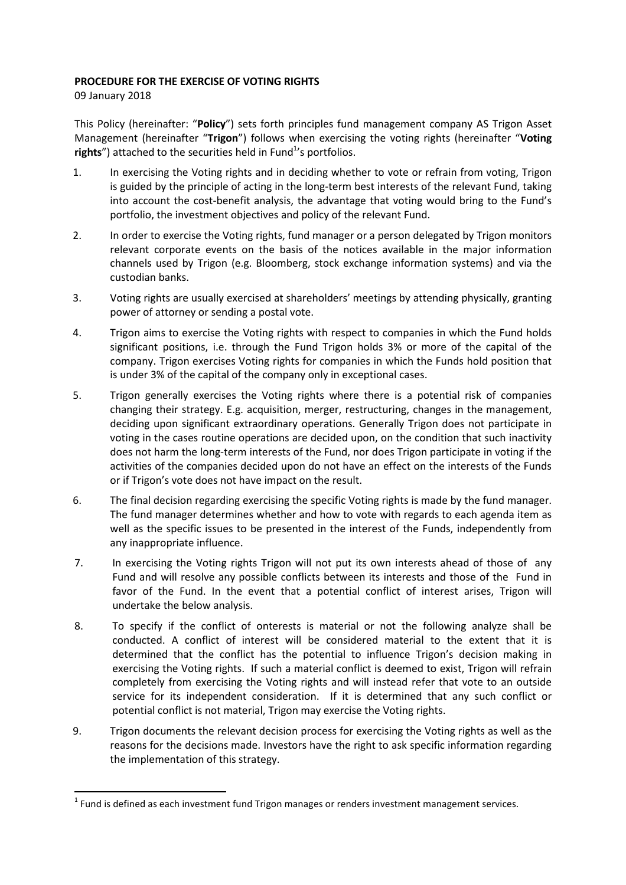## PROCEDURE FOR THE EXERCISE OF VOTING RIGHTS

09 January 2018

This Policy (hereinafter: "Policy") sets forth principles fund management company AS Trigon Asset Management (hereinafter "Trigon") follows when exercising the voting rights (hereinafter "Voting rights") attached to the securities held in Fund $1$ 's portfolios.

- 1. In exercising the Voting rights and in deciding whether to vote or refrain from voting, Trigon is guided by the principle of acting in the long-term best interests of the relevant Fund, taking into account the cost-benefit analysis, the advantage that voting would bring to the Fund's portfolio, the investment objectives and policy of the relevant Fund.
- 2. In order to exercise the Voting rights, fund manager or a person delegated by Trigon monitors relevant corporate events on the basis of the notices available in the major information channels used by Trigon (e.g. Bloomberg, stock exchange information systems) and via the custodian banks.
- 3. Voting rights are usually exercised at shareholders' meetings by attending physically, granting power of attorney or sending a postal vote.
- 4. Trigon aims to exercise the Voting rights with respect to companies in which the Fund holds significant positions, i.e. through the Fund Trigon holds 3% or more of the capital of the company. Trigon exercises Voting rights for companies in which the Funds hold position that is under 3% of the capital of the company only in exceptional cases.
- 5. Trigon generally exercises the Voting rights where there is a potential risk of companies changing their strategy. E.g. acquisition, merger, restructuring, changes in the management, deciding upon significant extraordinary operations. Generally Trigon does not participate in voting in the cases routine operations are decided upon, on the condition that such inactivity does not harm the long-term interests of the Fund, nor does Trigon participate in voting if the activities of the companies decided upon do not have an effect on the interests of the Funds or if Trigon's vote does not have impact on the result.
- 6. The final decision regarding exercising the specific Voting rights is made by the fund manager. The fund manager determines whether and how to vote with regards to each agenda item as well as the specific issues to be presented in the interest of the Funds, independently from any inappropriate influence.
- 7. In exercising the Voting rights Trigon will not put its own interests ahead of those of any Fund and will resolve any possible conflicts between its interests and those of the Fund in favor of the Fund. In the event that a potential conflict of interest arises, Trigon will undertake the below analysis.
- 8. To specify if the conflict of onterests is material or not the following analyze shall be conducted. A conflict of interest will be considered material to the extent that it is determined that the conflict has the potential to influence Trigon's decision making in exercising the Voting rights. If such a material conflict is deemed to exist, Trigon will refrain completely from exercising the Voting rights and will instead refer that vote to an outside service for its independent consideration. If it is determined that any such conflict or potential conflict is not material, Trigon may exercise the Voting rights.
- 9. Trigon documents the relevant decision process for exercising the Voting rights as well as the reasons for the decisions made. Investors have the right to ask specific information regarding the implementation of this strategy.

 $1$  Fund is defined as each investment fund Trigon manages or renders investment management services.